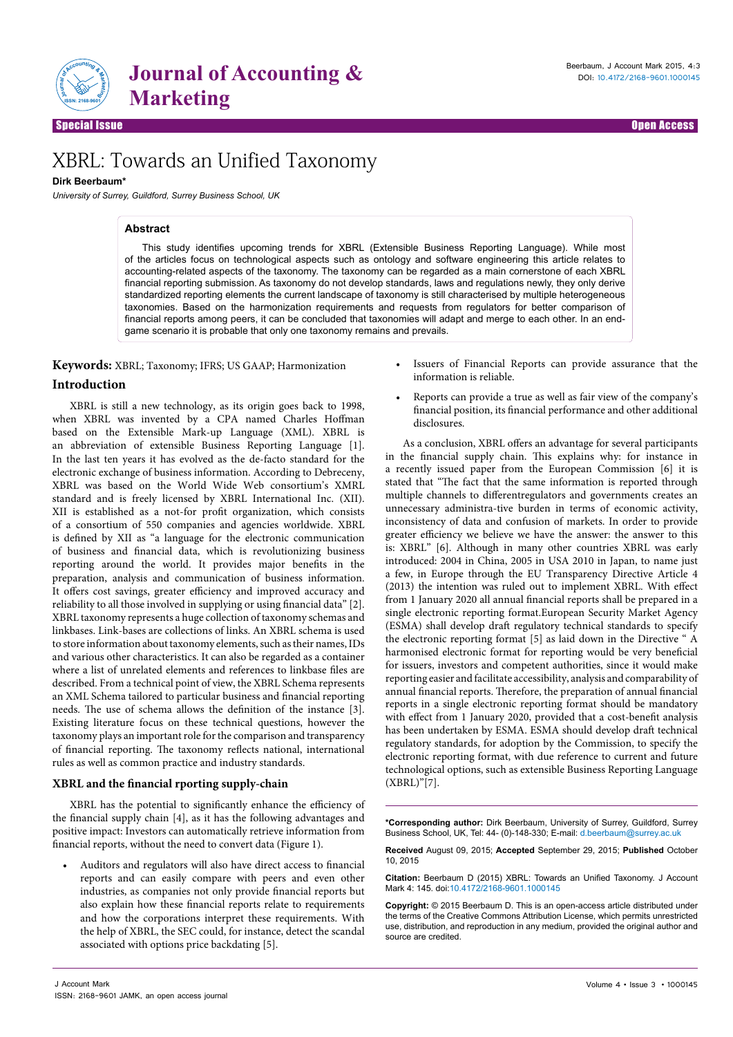

Special Issue Open Access

# XBRL: Towards an Unified Taxonomy

## **Dirk Beerbaum\***

*University of Surrey, Guildford, Surrey Business School, UK*

#### **Abstract**

This study identifies upcoming trends for XBRL (Extensible Business Reporting Language). While most of the articles focus on technological aspects such as ontology and software engineering this article relates to accounting-related aspects of the taxonomy. The taxonomy can be regarded as a main cornerstone of each XBRL financial reporting submission. As taxonomy do not develop standards, laws and regulations newly, they only derive standardized reporting elements the current landscape of taxonomy is still characterised by multiple heterogeneous taxonomies. Based on the harmonization requirements and requests from regulators for better comparison of financial reports among peers, it can be concluded that taxonomies will adapt and merge to each other. In an endgame scenario it is probable that only one taxonomy remains and prevails.

**Keywords:** XBRL; Taxonomy; IFRS; US GAAP; Harmonization

## **Introduction**

XBRL is still a new technology, as its origin goes back to 1998, when XBRL was invented by a CPA named Charles Hoffman based on the Extensible Mark-up Language (XML). XBRL is an abbreviation of extensible Business Reporting Language [1]. In the last ten years it has evolved as the de-facto standard for the electronic exchange of business information. According to Debreceny, XBRL was based on the World Wide Web consortium's XMRL standard and is freely licensed by XBRL International Inc. (XII). XII is established as a not-for profit organization, which consists of a consortium of 550 companies and agencies worldwide. XBRL is defined by XII as "a language for the electronic communication of business and financial data, which is revolutionizing business reporting around the world. It provides major benefits in the preparation, analysis and communication of business information. It offers cost savings, greater efficiency and improved accuracy and reliability to all those involved in supplying or using financial data" [2]. XBRL taxonomy represents a huge collection of taxonomy schemas and linkbases. Link-bases are collections of links. An XBRL schema is used to store information about taxonomy elements, such as their names, IDs and various other characteristics. It can also be regarded as a container where a list of unrelated elements and references to linkbase files are described. From a technical point of view, the XBRL Schema represents an XML Schema tailored to particular business and financial reporting needs. The use of schema allows the definition of the instance [3]. Existing literature focus on these technical questions, however the taxonomy plays an important role for the comparison and transparency of financial reporting. The taxonomy reflects national, international rules as well as common practice and industry standards.

#### **XBRL and the financial rporting supply-chain**

XBRL has the potential to significantly enhance the efficiency of the financial supply chain [4], as it has the following advantages and positive impact: Investors can automatically retrieve information from financial reports, without the need to convert data (Figure 1).

• Auditors and regulators will also have direct access to financial reports and can easily compare with peers and even other industries, as companies not only provide financial reports but also explain how these financial reports relate to requirements and how the corporations interpret these requirements. With the help of XBRL, the SEC could, for instance, detect the scandal associated with options price backdating [5].

in the financial supply chain. This explains why: for instance in a recently issued paper from the European Commission [6] it is

information is reliable.

disclosures.

stated that "The fact that the same information is reported through multiple channels to differentregulators and governments creates an unnecessary administra-tive burden in terms of economic activity, inconsistency of data and confusion of markets. In order to provide greater efficiency we believe we have the answer: the answer to this is: XBRL" [6]. Although in many other countries XBRL was early introduced: 2004 in China, 2005 in USA 2010 in Japan, to name just a few, in Europe through the EU Transparency Directive Article 4 (2013) the intention was ruled out to implement XBRL. With effect from 1 January 2020 all annual financial reports shall be prepared in a single electronic reporting format.European Security Market Agency (ESMA) shall develop draft regulatory technical standards to specify the electronic reporting format [5] as laid down in the Directive " A harmonised electronic format for reporting would be very beneficial for issuers, investors and competent authorities, since it would make reporting easier and facilitate accessibility, analysis and comparability of annual financial reports. Therefore, the preparation of annual financial reports in a single electronic reporting format should be mandatory with effect from 1 January 2020, provided that a cost-benefit analysis has been undertaken by ESMA. ESMA should develop draft technical regulatory standards, for adoption by the Commission, to specify the electronic reporting format, with due reference to current and future technological options, such as extensible Business Reporting Language (XBRL)"[7].

• Issuers of Financial Reports can provide assurance that the

• Reports can provide a true as well as fair view of the company's financial position, its financial performance and other additional

As a conclusion, XBRL offers an advantage for several participants

**\*Corresponding author:** Dirk Beerbaum, University of Surrey, Guildford, Surrey Business School, UK, Tel: 44- (0)-148-330; E-mail: d.beerbaum@surrey.ac.uk

**Received** August 09, 2015; **Accepted** September 29, 2015; **Published** October 10, 2015

**Citation:** Beerbaum D (2015) XBRL: Towards an Unified Taxonomy. J Account Mark 4: 145. doi:10.4172/2168-9601.1000145

**Copyright:** © 2015 Beerbaum D. This is an open-access article distributed under the terms of the Creative Commons Attribution License, which permits unrestricted use, distribution, and reproduction in any medium, provided the original author and source are credited.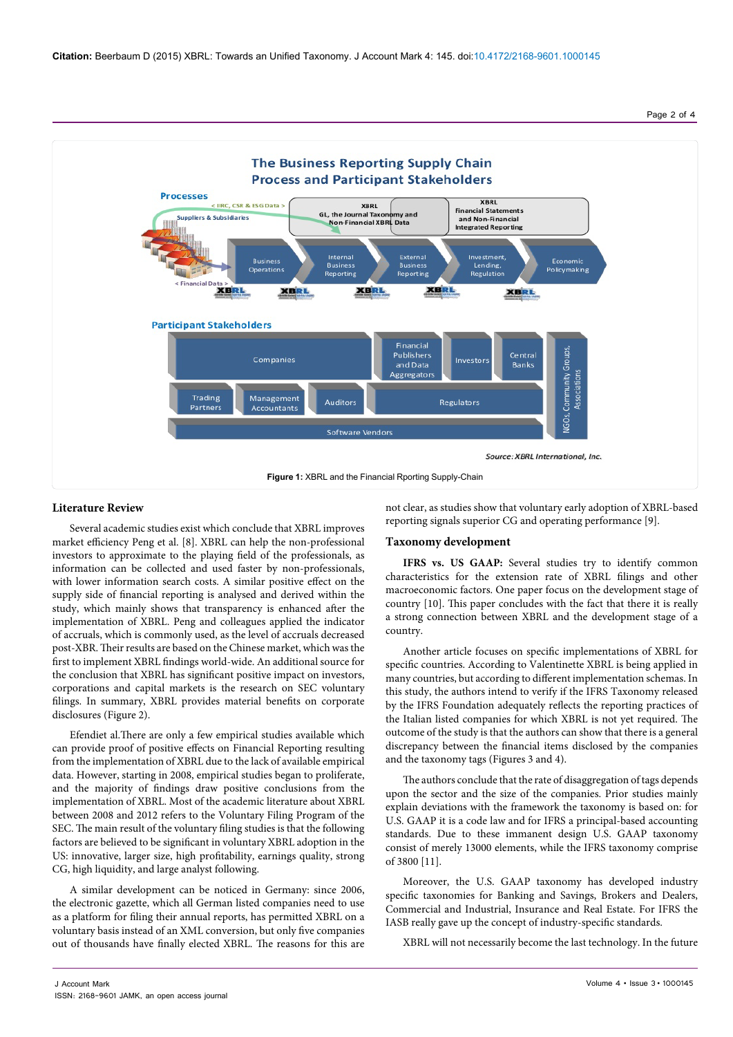Page 2 of 4



### **Literature Review**

Several academic studies exist which conclude that XBRL improves market efficiency Peng et al. [8]. XBRL can help the non-professional investors to approximate to the playing field of the professionals, as information can be collected and used faster by non-professionals, with lower information search costs. A similar positive effect on the supply side of financial reporting is analysed and derived within the study, which mainly shows that transparency is enhanced after the implementation of XBRL. Peng and colleagues applied the indicator of accruals, which is commonly used, as the level of accruals decreased post-XBR. Their results are based on the Chinese market, which was the first to implement XBRL findings world-wide. An additional source for the conclusion that XBRL has significant positive impact on investors, corporations and capital markets is the research on SEC voluntary filings. In summary, XBRL provides material benefits on corporate disclosures (Figure 2).

Efendiet al.There are only a few empirical studies available which can provide proof of positive effects on Financial Reporting resulting from the implementation of XBRL due to the lack of available empirical data. However, starting in 2008, empirical studies began to proliferate, and the majority of findings draw positive conclusions from the implementation of XBRL. Most of the academic literature about XBRL between 2008 and 2012 refers to the Voluntary Filing Program of the SEC. The main result of the voluntary filing studies is that the following factors are believed to be significant in voluntary XBRL adoption in the US: innovative, larger size, high profitability, earnings quality, strong CG, high liquidity, and large analyst following.

A similar development can be noticed in Germany: since 2006, the electronic gazette, which all German listed companies need to use as a platform for filing their annual reports, has permitted XBRL on a voluntary basis instead of an XML conversion, but only five companies out of thousands have finally elected XBRL. The reasons for this are

not clear, as studies show that voluntary early adoption of XBRL-based reporting signals superior CG and operating performance [9].

#### **Taxonomy development**

IFRS vs. US GAAP: Several studies try to identify common characteristics for the extension rate of XBRL filings and other macroeconomic factors. One paper focus on the development stage of country [10]. This paper concludes with the fact that there it is really a strong connection between XBRL and the development stage of a country.

Another article focuses on specific implementations of XBRL for specific countries. According to Valentinette XBRL is being applied in many countries, but according to different implementation schemas. In this study, the authors intend to verify if the IFRS Taxonomy released by the IFRS Foundation adequately reflects the reporting practices of the Italian listed companies for which XBRL is not yet required. The outcome of the study is that the authors can show that there is a general discrepancy between the financial items disclosed by the companies and the taxonomy tags (Figures 3 and 4).

The authors conclude that the rate of disaggregation of tags depends upon the sector and the size of the companies. Prior studies mainly explain deviations with the framework the taxonomy is based on: for U.S. GAAP it is a code law and for IFRS a principal-based accounting standards. Due to these immanent design U.S. GAAP taxonomy consist of merely 13000 elements, while the IFRS taxonomy comprise of 3800 [11].

Moreover, the U.S. GAAP taxonomy has developed industry specific taxonomies for Banking and Savings, Brokers and Dealers, Commercial and Industrial, Insurance and Real Estate. For IFRS the IASB really gave up the concept of industry-specific standards.

XBRL will not necessarily become the last technology. In the future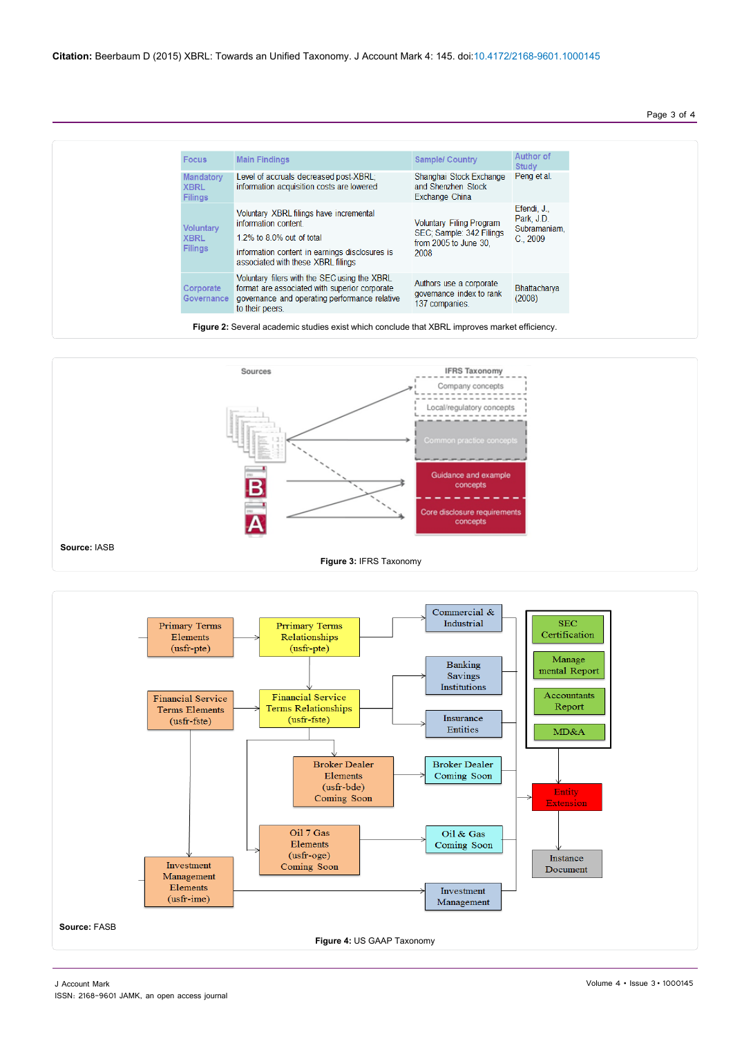## Page 3 of 4

| <b>Focus</b>                                      | <b>Main Findings</b>                                                                                                                                                                 | <b>Sample/ Country</b>                                                                       | Author of<br>Study                                        |
|---------------------------------------------------|--------------------------------------------------------------------------------------------------------------------------------------------------------------------------------------|----------------------------------------------------------------------------------------------|-----------------------------------------------------------|
| <b>Mandatory</b><br><b>XBRL</b><br><b>Filings</b> | Level of accruals decreased post-XBRL;<br>information acquisition costs are lowered                                                                                                  | Shanghai Stock Exchange<br>and Shenzhen Stock<br>Exchange China                              | Peng et al.                                               |
| <b>Voluntary</b><br><b>XBRL</b><br><b>Filings</b> | Voluntary XBRL filings have incremental<br>information content.<br>1.2% to 8.0% out of total<br>information content in earnings disclosures is<br>associated with these XBRL filings | <b>Voluntary Filing Program</b><br>SEC: Sample: 342 Filings<br>from 2005 to June 30.<br>2008 | Efendi, J.,<br>Park, J.D.<br>Subramaniam,<br>$C_{.}$ 2009 |
| Corporate<br><b>Governance</b>                    | Voluntary filers with the SEC using the XBRL<br>format are associated with superior corporate<br>governance and operating performance relative<br>to their peers.                    | Authors use a corporate<br>governance index to rank<br>137 companies.                        | Bhattacharya<br>(2008)                                    |